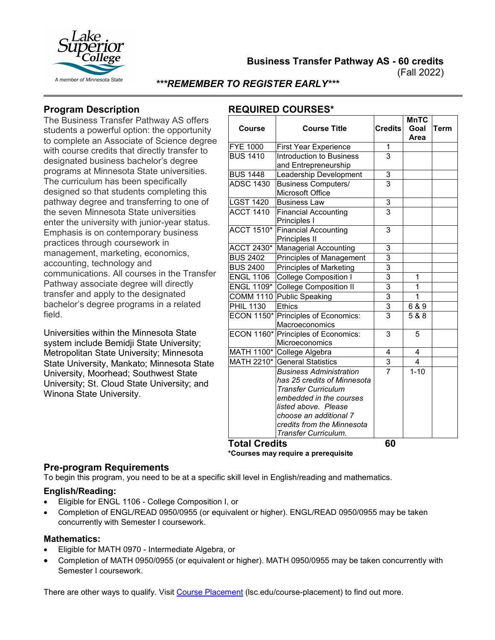

**Business Transfer Pathway AS - 60 credits**

(Fall 2022)

### *\*\*\*REMEMBER TO REGISTER EARLY\*\*\**

# **Program Description**

The Business Transfer Pathway AS offers students a powerful option: the opportunity to complete an Associate of Science degree with course credits that directly transfer to designated business bachelor's degree programs at Minnesota State universities. The curriculum has been specifically designed so that students completing this pathway degree and transferring to one of the seven Minnesota State universities enter the university with junior-year status. Emphasis is on contemporary business practices through coursework in management, marketing, economics, accounting, technology and communications. All courses in the Transfer Pathway associate degree will directly transfer and apply to the designated bachelor's degree programs in a related field.

Universities within the Minnesota State system include Bemidji State University; Metropolitan State University; Minnesota State University, Mankato; Minnesota State University, Moorhead; Southwest State University; St. Cloud State University; and Winona State University.

## **REQUIRED COURSES\***

|                   |                                                               |                | <b>MnTC</b> |      |
|-------------------|---------------------------------------------------------------|----------------|-------------|------|
| Course            | <b>Course Title</b>                                           | <b>Credits</b> | Goal        | Term |
|                   |                                                               |                | Area        |      |
| <b>FYE 1000</b>   | <b>First Year Experience</b>                                  | 1              |             |      |
| <b>BUS 1410</b>   | Introduction to Business                                      | $\overline{3}$ |             |      |
|                   | and Entrepreneurship                                          |                |             |      |
| <b>BUS 1448</b>   | Leadership Development                                        | 3              |             |      |
| <b>ADSC 1430</b>  | <b>Business Computers/</b><br>Microsoft Office                | $\overline{3}$ |             |      |
| <b>LGST 1420</b>  | <b>Business Law</b>                                           | 3              |             |      |
| <b>ACCT 1410</b>  | <b>Financial Accounting</b><br>Principles I                   | $\overline{3}$ |             |      |
| <b>ACCT 1510*</b> | <b>Financial Accounting</b><br>Principles II                  | 3              |             |      |
| ACCT 2430*        | <b>Managerial Accounting</b>                                  | 3              |             |      |
| <b>BUS 2402</b>   | <b>Principles of Management</b>                               | 3              |             |      |
| <b>BUS 2400</b>   | Principles of Marketing                                       | $\overline{3}$ |             |      |
| <b>ENGL 1106</b>  | <b>College Composition I</b>                                  | $\overline{3}$ | 1           |      |
|                   | <b>ENGL 1109*</b> College Composition II                      | $\overline{3}$ | 1           |      |
|                   | COMM 1110 Public Speaking                                     | $\overline{3}$ | 1           |      |
| <b>PHIL 1130</b>  | <b>Ethics</b>                                                 | $\overline{3}$ | 6 & 9       |      |
| <b>ECON 1150*</b> | Principles of Economics:<br>Macroeconomics                    | $\overline{3}$ | 5 & 8       |      |
|                   | ECON 1160* Principles of Economics:<br>Microeconomics         | $\overline{3}$ | 5           |      |
|                   | MATH 1100* College Algebra                                    | 4              | 4           |      |
|                   | MATH 2210* General Statistics                                 | 3              | 4           |      |
|                   | <b>Business Administration</b><br>has 25 credits of Minnesota | $\overline{7}$ | $1 - 10$    |      |
|                   | <b>Transfer Curriculum</b>                                    |                |             |      |
|                   | embedded in the courses                                       |                |             |      |
|                   | listed above. Please                                          |                |             |      |
|                   | choose an additional 7                                        |                |             |      |
|                   | credits from the Minnesota                                    |                |             |      |
| TALA C            | Transfer Curriculum.<br>jiin                                  | cΛ             |             |      |

**Total Credits 60 \*Courses may require a prerequisite**

#### **Pre-program Requirements**

To begin this program, you need to be at a specific skill level in English/reading and mathematics.

#### **English/Reading:**

- Eligible for ENGL 1106 College Composition I, or
- Completion of ENGL/READ 0950/0955 (or equivalent or higher). ENGL/READ 0950/0955 may be taken concurrently with Semester I coursework.

#### **Mathematics:**

- Eligible for MATH 0970 Intermediate Algebra, or
- Completion of MATH 0950/0955 (or equivalent or higher). MATH 0950/0955 may be taken concurrently with Semester I coursework.

There are other ways to qualify. Visit [Course Placement](https://www.lsc.edu/course-placement/) (lsc.edu/course-placement) to find out more.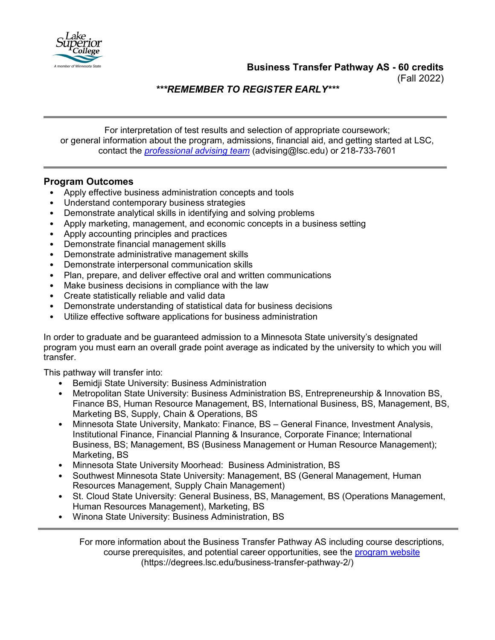**Business Transfer Pathway AS - 60 credits**

(Fall 2022)

*\*\*\*REMEMBER TO REGISTER EARLY\*\*\**

For interpretation of test results and selection of appropriate coursework; or general information about the program, admissions, financial aid, and getting started at LSC, contact the *[professional advising team](mailto:advising@lsc.edu)* (advising@lsc.edu) or 218-733-7601

# **Program Outcomes**

- Apply effective business administration concepts and tools
- Understand contemporary business strategies
- Demonstrate analytical skills in identifying and solving problems
- Apply marketing, management, and economic concepts in a business setting
- Apply accounting principles and practices
- Demonstrate financial management skills
- Demonstrate administrative management skills
- Demonstrate interpersonal communication skills
- Plan, prepare, and deliver effective oral and written communications
- Make business decisions in compliance with the law
- Create statistically reliable and valid data
- Demonstrate understanding of statistical data for business decisions
- Utilize effective software applications for business administration

In order to graduate and be guaranteed admission to a Minnesota State university's designated program you must earn an overall grade point average as indicated by the university to which you will transfer.

This pathway will transfer into:

- Bemidji State University: Business Administration
- Metropolitan State University: Business Administration BS, Entrepreneurship & Innovation BS, Finance BS, Human Resource Management, BS, International Business, BS, Management, BS, Marketing BS, Supply, Chain & Operations, BS
- Minnesota State University, Mankato: Finance, BS General Finance, Investment Analysis, Institutional Finance, Financial Planning & Insurance, Corporate Finance; International Business, BS; Management, BS (Business Management or Human Resource Management); Marketing, BS
- Minnesota State University Moorhead: Business Administration, BS
- Southwest Minnesota State University: Management, BS (General Management, Human Resources Management, Supply Chain Management)
- St. Cloud State University: General Business, BS, Management, BS (Operations Management, Human Resources Management), Marketing, BS
- Winona State University: Business Administration, BS

For more information about the Business Transfer Pathway AS including course descriptions, course prerequisites, and potential career opportunities, see the [program website](https://degrees.lsc.edu/business-transfer-pathway-2/) (https://degrees.lsc.edu/business-transfer-pathway-2/)